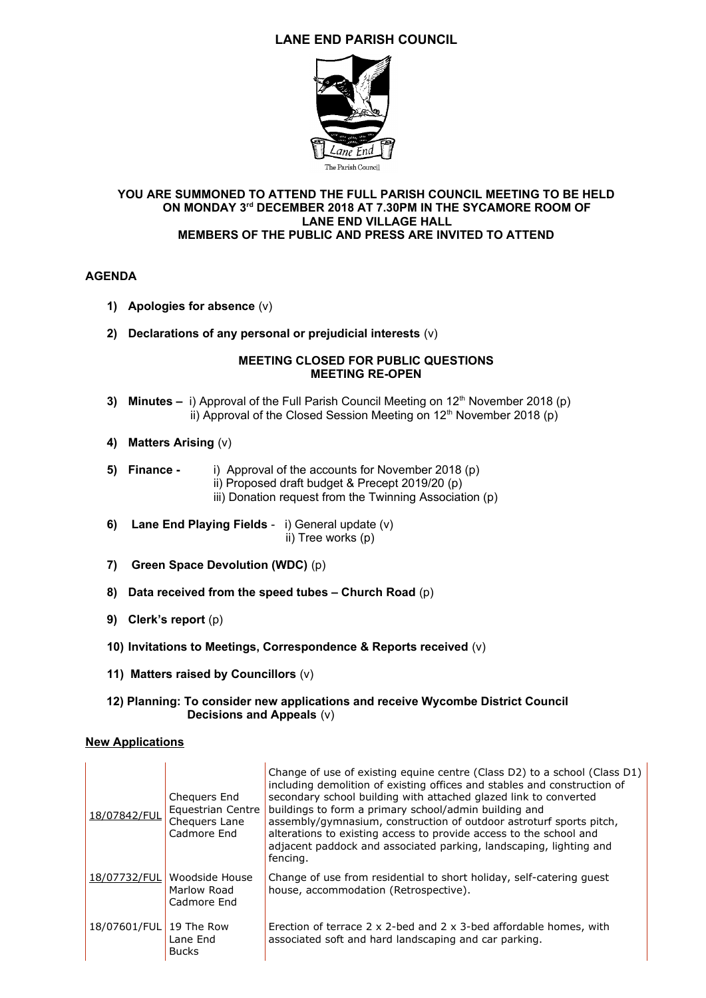# **LANE END PARISH COUNCIL**



### **YOU ARE SUMMONED TO ATTEND THE FULL PARISH COUNCIL MEETING TO BE HELD ON MONDAY 3rd DECEMBER 2018 AT 7.30PM IN THE SYCAMORE ROOM OF LANE END VILLAGE HALL MEMBERS OF THE PUBLIC AND PRESS ARE INVITED TO ATTEND**

### **AGENDA**

- **1) Apologies for absence** (v)
- **2) Declarations of any personal or prejudicial interests** (v)

### **MEETING CLOSED FOR PUBLIC QUESTIONS MEETING RE-OPEN**

- **3) Minutes i) Approval of the Full Parish Council Meeting on 12<sup>th</sup> November 2018 (p)** ii) Approval of the Closed Session Meeting on  $12<sup>th</sup>$  November 2018 (p)
- **4) Matters Arising** (v)
- **5) Finance** i) Approval of the accounts for November 2018 (p)
	- ii) Proposed draft budget & Precept 2019/20 (p)
	- iii) Donation request from the Twinning Association (p)
- **6) Lane End Playing Fields** i) General update (v) ii) Tree works (p)
- **7) Green Space Devolution (WDC)** (p)
- **8) Data received from the speed tubes Church Road** (p)
- **9) Clerk's report** (p)
- **10) Invitations to Meetings, Correspondence & Reports received** (v)
- **11) Matters raised by Councillors** (v)

#### **12) Planning: To consider new applications and receive Wycombe District Council Decisions and Appeals** (v)

#### **New Applications**

| 18/07842/FUL            | Chequers End<br>Equestrian Centre<br>Chequers Lane<br>Cadmore End | Change of use of existing equine centre (Class D2) to a school (Class D1)<br>including demolition of existing offices and stables and construction of<br>secondary school building with attached glazed link to converted<br>buildings to form a primary school/admin building and<br>assembly/gymnasium, construction of outdoor astroturf sports pitch,<br>alterations to existing access to provide access to the school and<br>adjacent paddock and associated parking, landscaping, lighting and<br>fencing. |
|-------------------------|-------------------------------------------------------------------|-------------------------------------------------------------------------------------------------------------------------------------------------------------------------------------------------------------------------------------------------------------------------------------------------------------------------------------------------------------------------------------------------------------------------------------------------------------------------------------------------------------------|
| 18/07732/FUL            | Woodside House<br>Marlow Road<br>Cadmore End                      | Change of use from residential to short holiday, self-catering guest<br>house, accommodation (Retrospective).                                                                                                                                                                                                                                                                                                                                                                                                     |
| 18/07601/FUL 19 The Row | Lane End<br><b>Bucks</b>                                          | Erection of terrace $2 \times 2$ -bed and $2 \times 3$ -bed affordable homes, with<br>associated soft and hard landscaping and car parking.                                                                                                                                                                                                                                                                                                                                                                       |